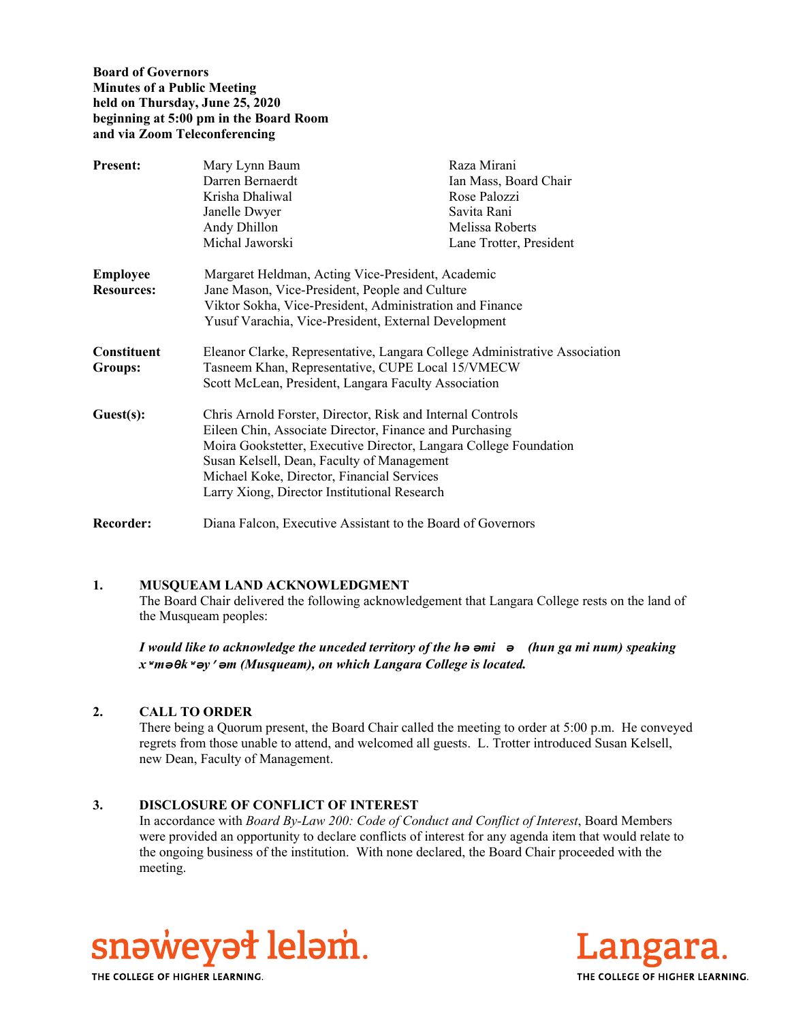**Board of Governors Minutes of a Public Meeting held on Thursday, June 25, 2020 beginning at 5:00 pm in the Board Room and via Zoom Teleconferencing** 

| <b>Present:</b>   | Mary Lynn Baum                                                             | Raza Mirani             |
|-------------------|----------------------------------------------------------------------------|-------------------------|
|                   | Darren Bernaerdt                                                           | Ian Mass, Board Chair   |
|                   | Krisha Dhaliwal                                                            | Rose Palozzi            |
|                   | Janelle Dwyer                                                              | Savita Rani             |
|                   | Andy Dhillon                                                               | Melissa Roberts         |
|                   | Michal Jaworski                                                            | Lane Trotter, President |
| <b>Employee</b>   | Margaret Heldman, Acting Vice-President, Academic                          |                         |
| <b>Resources:</b> | Jane Mason, Vice-President, People and Culture                             |                         |
|                   | Viktor Sokha, Vice-President, Administration and Finance                   |                         |
|                   | Yusuf Varachia, Vice-President, External Development                       |                         |
| Constituent       | Eleanor Clarke, Representative, Langara College Administrative Association |                         |
| <b>Groups:</b>    | Tasneem Khan, Representative, CUPE Local 15/VMECW                          |                         |
|                   | Scott McLean, President, Langara Faculty Association                       |                         |
| Guest(s):         | Chris Arnold Forster, Director, Risk and Internal Controls                 |                         |
|                   | Eileen Chin, Associate Director, Finance and Purchasing                    |                         |
|                   | Moira Gookstetter, Executive Director, Langara College Foundation          |                         |
|                   | Susan Kelsell, Dean, Faculty of Management                                 |                         |
|                   | Michael Koke, Director, Financial Services                                 |                         |
|                   | Larry Xiong, Director Institutional Research                               |                         |
| <b>Recorder:</b>  | Diana Falcon, Executive Assistant to the Board of Governors                |                         |

#### **1. MUSQUEAM LAND ACKNOWLEDGMENT**

The Board Chair delivered the following acknowledgement that Langara College rests on the land of the Musqueam peoples:

*I would like to acknowledge the unceded territory of the hә әmiә (hun ga mi num) speaking xʷmәθkʷәy̓әm (Musqueam), on which Langara College is located.*

#### **2. CALL TO ORDER**

There being a Quorum present, the Board Chair called the meeting to order at 5:00 p.m. He conveyed regrets from those unable to attend, and welcomed all guests. L. Trotter introduced Susan Kelsell, new Dean, Faculty of Management.

#### **3. DISCLOSURE OF CONFLICT OF INTEREST**

In accordance with *Board By-Law 200: Code of Conduct and Conflict of Interest*, Board Members were provided an opportunity to declare conflicts of interest for any agenda item that would relate to the ongoing business of the institution. With none declared, the Board Chair proceeded with the meeting.



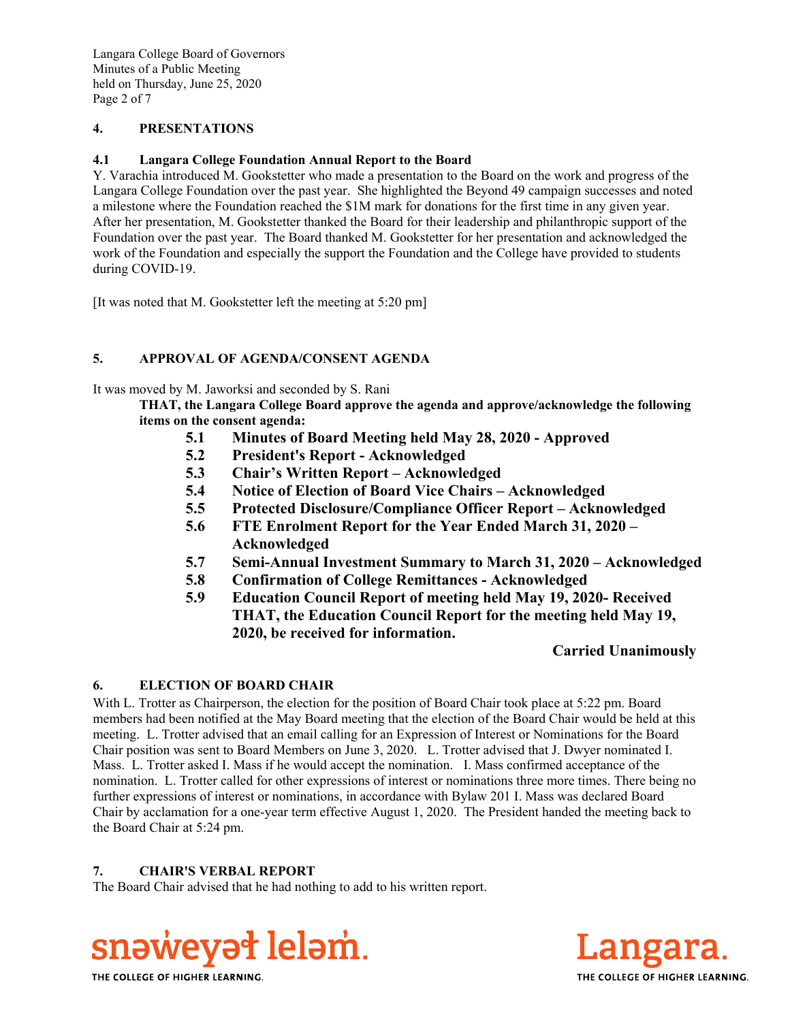# **4. PRESENTATIONS**

# **4.1 Langara College Foundation Annual Report to the Board**

Y. Varachia introduced M. Gookstetter who made a presentation to the Board on the work and progress of the Langara College Foundation over the past year. She highlighted the Beyond 49 campaign successes and noted a milestone where the Foundation reached the \$1M mark for donations for the first time in any given year. After her presentation, M. Gookstetter thanked the Board for their leadership and philanthropic support of the Foundation over the past year. The Board thanked M. Gookstetter for her presentation and acknowledged the work of the Foundation and especially the support the Foundation and the College have provided to students during COVID-19.

[It was noted that M. Gookstetter left the meeting at 5:20 pm]

# **5. APPROVAL OF AGENDA/CONSENT AGENDA**

It was moved by M. Jaworksi and seconded by S. Rani

**THAT, the Langara College Board approve the agenda and approve/acknowledge the following items on the consent agenda:**

- **5.1 Minutes of Board Meeting held May 28, 2020 Approved**
- **5.2 President's Report Acknowledged**
- **5.3 Chair's Written Report Acknowledged**
- **5.4 Notice of Election of Board Vice Chairs Acknowledged**
- **5.5 Protected Disclosure/Compliance Officer Report Acknowledged**
- **5.6 FTE Enrolment Report for the Year Ended March 31, 2020 Acknowledged**
- **5.7 Semi-Annual Investment Summary to March 31, 2020 Acknowledged**
- **5.8 Confirmation of College Remittances Acknowledged**
- **5.9 Education Council Report of meeting held May 19, 2020- Received THAT, the Education Council Report for the meeting held May 19, 2020, be received for information.**

# **Carried Unanimously**

# **6. ELECTION OF BOARD CHAIR**

With L. Trotter as Chairperson, the election for the position of Board Chair took place at 5:22 pm. Board members had been notified at the May Board meeting that the election of the Board Chair would be held at this meeting. L. Trotter advised that an email calling for an Expression of Interest or Nominations for the Board Chair position was sent to Board Members on June 3, 2020. L. Trotter advised that J. Dwyer nominated I. Mass. L. Trotter asked I. Mass if he would accept the nomination. I. Mass confirmed acceptance of the nomination. L. Trotter called for other expressions of interest or nominations three more times. There being no further expressions of interest or nominations, in accordance with Bylaw 201 I. Mass was declared Board Chair by acclamation for a one-year term effective August 1, 2020. The President handed the meeting back to the Board Chair at 5:24 pm.

# **7. CHAIR'S VERBAL REPORT**

The Board Chair advised that he had nothing to add to his written report.



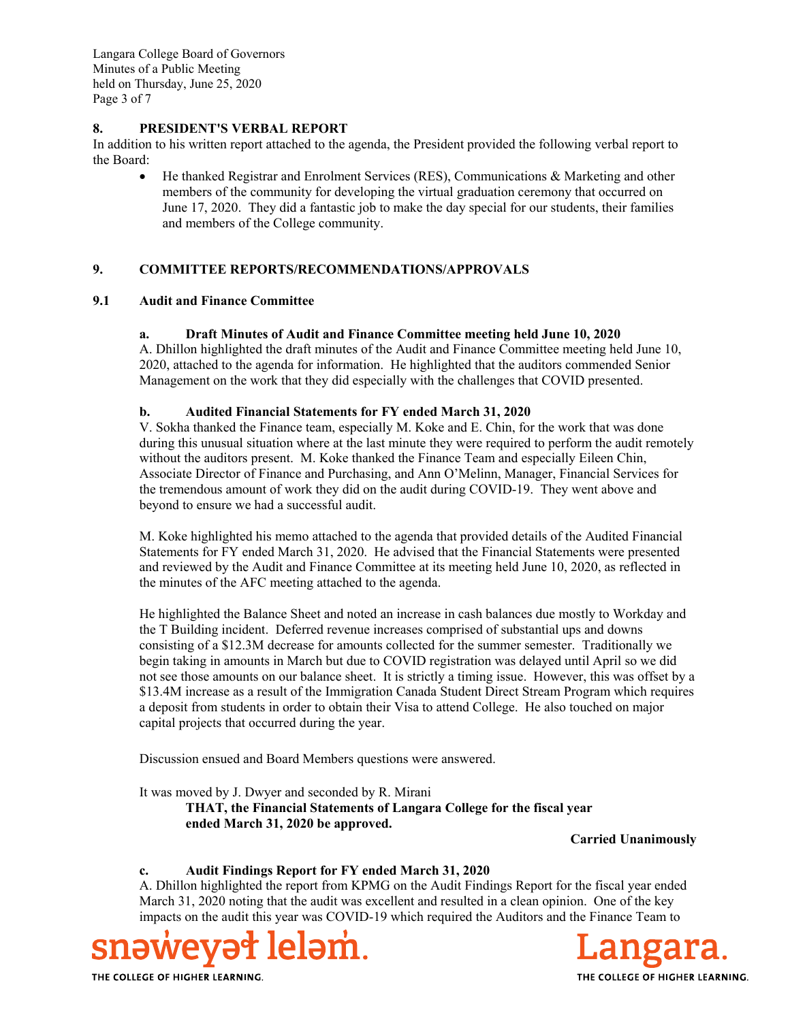Langara College Board of Governors Minutes of a Public Meeting held on Thursday, June 25, 2020 Page 3 of 7

### **8. PRESIDENT'S VERBAL REPORT**

In addition to his written report attached to the agenda, the President provided the following verbal report to the Board:

 He thanked Registrar and Enrolment Services (RES), Communications & Marketing and other members of the community for developing the virtual graduation ceremony that occurred on June 17, 2020. They did a fantastic job to make the day special for our students, their families and members of the College community.

# **9. COMMITTEE REPORTS/RECOMMENDATIONS/APPROVALS**

### **9.1 Audit and Finance Committee**

### **a. Draft Minutes of Audit and Finance Committee meeting held June 10, 2020**

A. Dhillon highlighted the draft minutes of the Audit and Finance Committee meeting held June 10, 2020, attached to the agenda for information. He highlighted that the auditors commended Senior Management on the work that they did especially with the challenges that COVID presented.

### **b. Audited Financial Statements for FY ended March 31, 2020**

V. Sokha thanked the Finance team, especially M. Koke and E. Chin, for the work that was done during this unusual situation where at the last minute they were required to perform the audit remotely without the auditors present. M. Koke thanked the Finance Team and especially Eileen Chin, Associate Director of Finance and Purchasing, and Ann O'Melinn, Manager, Financial Services for the tremendous amount of work they did on the audit during COVID-19. They went above and beyond to ensure we had a successful audit.

M. Koke highlighted his memo attached to the agenda that provided details of the Audited Financial Statements for FY ended March 31, 2020. He advised that the Financial Statements were presented and reviewed by the Audit and Finance Committee at its meeting held June 10, 2020, as reflected in the minutes of the AFC meeting attached to the agenda.

He highlighted the Balance Sheet and noted an increase in cash balances due mostly to Workday and the T Building incident. Deferred revenue increases comprised of substantial ups and downs consisting of a \$12.3M decrease for amounts collected for the summer semester. Traditionally we begin taking in amounts in March but due to COVID registration was delayed until April so we did not see those amounts on our balance sheet. It is strictly a timing issue. However, this was offset by a \$13.4M increase as a result of the Immigration Canada Student Direct Stream Program which requires a deposit from students in order to obtain their Visa to attend College. He also touched on major capital projects that occurred during the year.

Discussion ensued and Board Members questions were answered.

It was moved by J. Dwyer and seconded by R. Mirani **THAT, the Financial Statements of Langara College for the fiscal year ended March 31, 2020 be approved.** 

**Carried Unanimously**

#### **c. Audit Findings Report for FY ended March 31, 2020**

A. Dhillon highlighted the report from KPMG on the Audit Findings Report for the fiscal year ended March 31, 2020 noting that the audit was excellent and resulted in a clean opinion. One of the key impacts on the audit this year was COVID-19 which required the Auditors and the Finance Team to



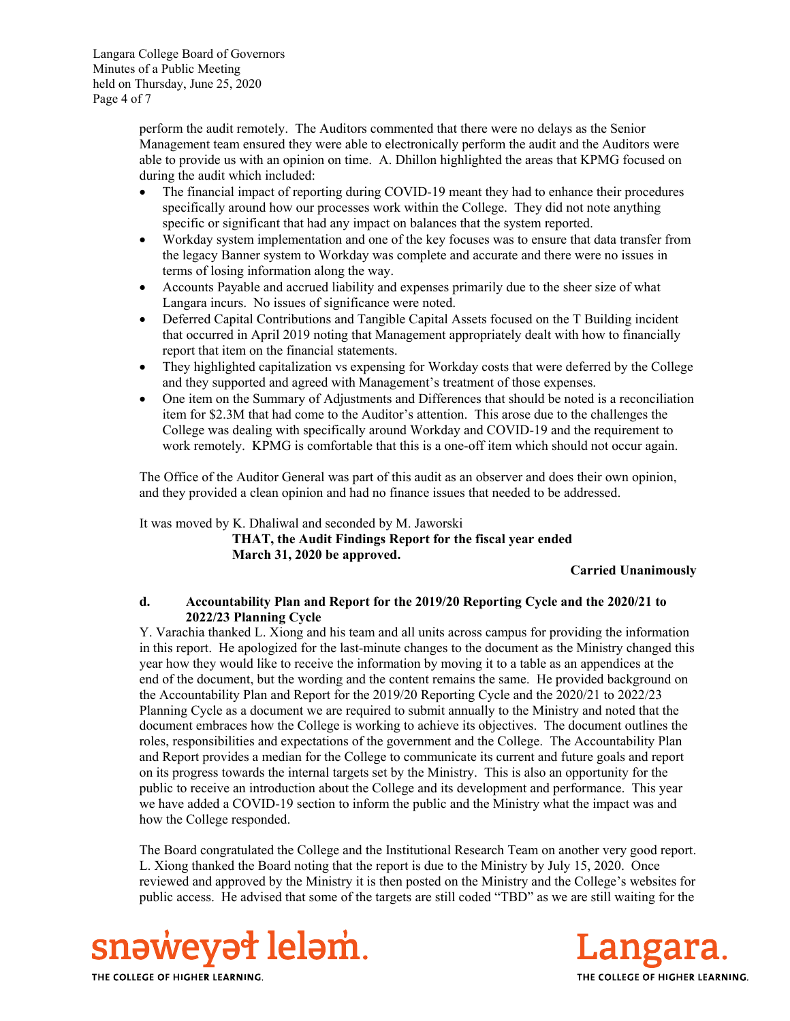Langara College Board of Governors Minutes of a Public Meeting held on Thursday, June 25, 2020 Page 4 of 7

> perform the audit remotely. The Auditors commented that there were no delays as the Senior Management team ensured they were able to electronically perform the audit and the Auditors were able to provide us with an opinion on time. A. Dhillon highlighted the areas that KPMG focused on during the audit which included:

- The financial impact of reporting during COVID-19 meant they had to enhance their procedures specifically around how our processes work within the College. They did not note anything specific or significant that had any impact on balances that the system reported.
- Workday system implementation and one of the key focuses was to ensure that data transfer from the legacy Banner system to Workday was complete and accurate and there were no issues in terms of losing information along the way.
- Accounts Payable and accrued liability and expenses primarily due to the sheer size of what Langara incurs. No issues of significance were noted.
- Deferred Capital Contributions and Tangible Capital Assets focused on the T Building incident that occurred in April 2019 noting that Management appropriately dealt with how to financially report that item on the financial statements.
- They highlighted capitalization vs expensing for Workday costs that were deferred by the College and they supported and agreed with Management's treatment of those expenses.
- One item on the Summary of Adjustments and Differences that should be noted is a reconciliation item for \$2.3M that had come to the Auditor's attention. This arose due to the challenges the College was dealing with specifically around Workday and COVID-19 and the requirement to work remotely. KPMG is comfortable that this is a one-off item which should not occur again.

The Office of the Auditor General was part of this audit as an observer and does their own opinion, and they provided a clean opinion and had no finance issues that needed to be addressed.

It was moved by K. Dhaliwal and seconded by M. Jaworski

**THAT, the Audit Findings Report for the fiscal year ended March 31, 2020 be approved.** 

**Carried Unanimously**

### **d. Accountability Plan and Report for the 2019/20 Reporting Cycle and the 2020/21 to 2022/23 Planning Cycle**

Y. Varachia thanked L. Xiong and his team and all units across campus for providing the information in this report. He apologized for the last-minute changes to the document as the Ministry changed this year how they would like to receive the information by moving it to a table as an appendices at the end of the document, but the wording and the content remains the same. He provided background on the Accountability Plan and Report for the 2019/20 Reporting Cycle and the 2020/21 to 2022/23 Planning Cycle as a document we are required to submit annually to the Ministry and noted that the document embraces how the College is working to achieve its objectives. The document outlines the roles, responsibilities and expectations of the government and the College. The Accountability Plan and Report provides a median for the College to communicate its current and future goals and report on its progress towards the internal targets set by the Ministry. This is also an opportunity for the public to receive an introduction about the College and its development and performance. This year we have added a COVID-19 section to inform the public and the Ministry what the impact was and how the College responded.

The Board congratulated the College and the Institutional Research Team on another very good report. L. Xiong thanked the Board noting that the report is due to the Ministry by July 15, 2020. Once reviewed and approved by the Ministry it is then posted on the Ministry and the College's websites for public access. He advised that some of the targets are still coded "TBD" as we are still waiting for the



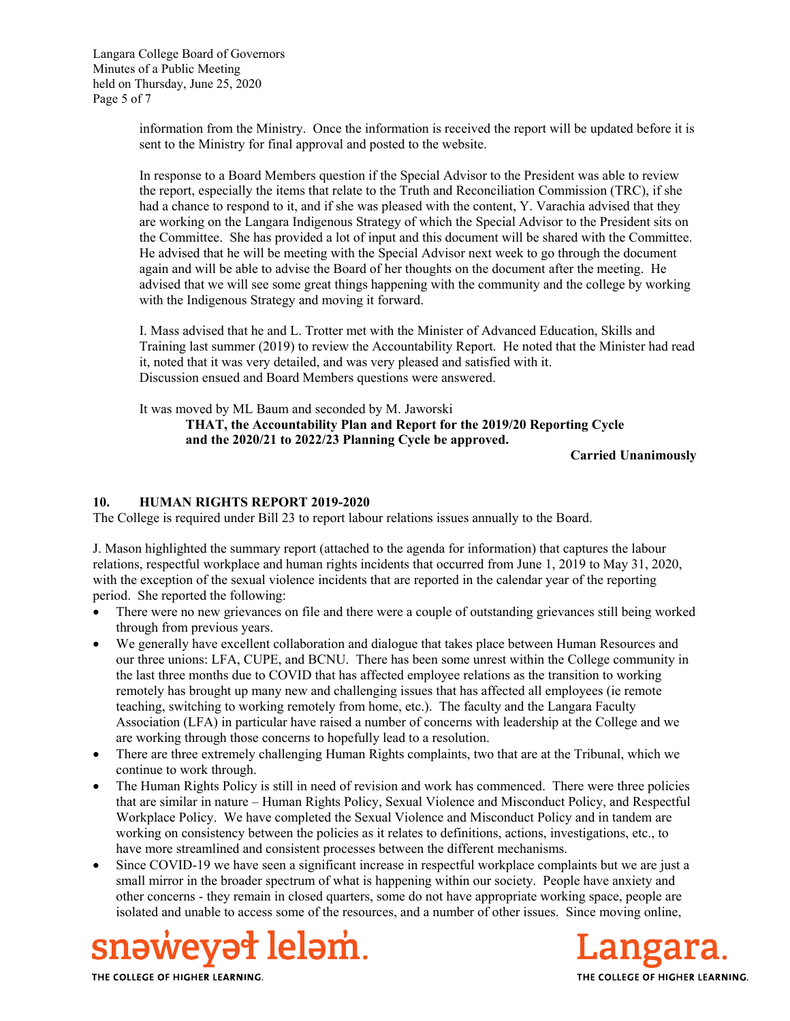Langara College Board of Governors Minutes of a Public Meeting held on Thursday, June 25, 2020 Page 5 of 7

> information from the Ministry. Once the information is received the report will be updated before it is sent to the Ministry for final approval and posted to the website.

> In response to a Board Members question if the Special Advisor to the President was able to review the report, especially the items that relate to the Truth and Reconciliation Commission (TRC), if she had a chance to respond to it, and if she was pleased with the content, Y. Varachia advised that they are working on the Langara Indigenous Strategy of which the Special Advisor to the President sits on the Committee. She has provided a lot of input and this document will be shared with the Committee. He advised that he will be meeting with the Special Advisor next week to go through the document again and will be able to advise the Board of her thoughts on the document after the meeting. He advised that we will see some great things happening with the community and the college by working with the Indigenous Strategy and moving it forward.

> I. Mass advised that he and L. Trotter met with the Minister of Advanced Education, Skills and Training last summer (2019) to review the Accountability Report. He noted that the Minister had read it, noted that it was very detailed, and was very pleased and satisfied with it. Discussion ensued and Board Members questions were answered.

It was moved by ML Baum and seconded by M. Jaworski

**THAT, the Accountability Plan and Report for the 2019/20 Reporting Cycle and the 2020/21 to 2022/23 Planning Cycle be approved.** 

**Carried Unanimously**

### **10. HUMAN RIGHTS REPORT 2019-2020**

The College is required under Bill 23 to report labour relations issues annually to the Board.

J. Mason highlighted the summary report (attached to the agenda for information) that captures the labour relations, respectful workplace and human rights incidents that occurred from June 1, 2019 to May 31, 2020, with the exception of the sexual violence incidents that are reported in the calendar year of the reporting period. She reported the following:

- There were no new grievances on file and there were a couple of outstanding grievances still being worked through from previous years.
- We generally have excellent collaboration and dialogue that takes place between Human Resources and our three unions: LFA, CUPE, and BCNU. There has been some unrest within the College community in the last three months due to COVID that has affected employee relations as the transition to working remotely has brought up many new and challenging issues that has affected all employees (ie remote teaching, switching to working remotely from home, etc.). The faculty and the Langara Faculty Association (LFA) in particular have raised a number of concerns with leadership at the College and we are working through those concerns to hopefully lead to a resolution.
- There are three extremely challenging Human Rights complaints, two that are at the Tribunal, which we continue to work through.
- The Human Rights Policy is still in need of revision and work has commenced. There were three policies that are similar in nature – Human Rights Policy, Sexual Violence and Misconduct Policy, and Respectful Workplace Policy. We have completed the Sexual Violence and Misconduct Policy and in tandem are working on consistency between the policies as it relates to definitions, actions, investigations, etc., to have more streamlined and consistent processes between the different mechanisms.
- Since COVID-19 we have seen a significant increase in respectful workplace complaints but we are just a small mirror in the broader spectrum of what is happening within our society. People have anxiety and other concerns - they remain in closed quarters, some do not have appropriate working space, people are isolated and unable to access some of the resources, and a number of other issues. Since moving online,



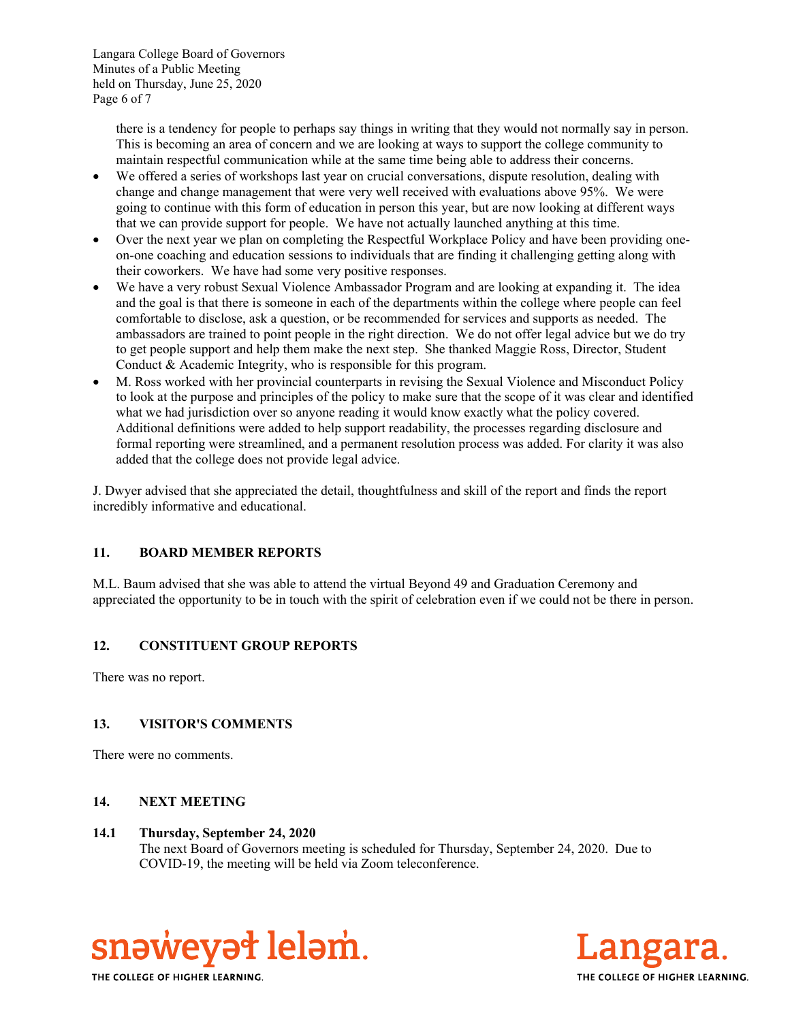Langara College Board of Governors Minutes of a Public Meeting held on Thursday, June 25, 2020 Page 6 of 7

> there is a tendency for people to perhaps say things in writing that they would not normally say in person. This is becoming an area of concern and we are looking at ways to support the college community to maintain respectful communication while at the same time being able to address their concerns.

- We offered a series of workshops last year on crucial conversations, dispute resolution, dealing with change and change management that were very well received with evaluations above 95%. We were going to continue with this form of education in person this year, but are now looking at different ways that we can provide support for people. We have not actually launched anything at this time.
- Over the next year we plan on completing the Respectful Workplace Policy and have been providing oneon-one coaching and education sessions to individuals that are finding it challenging getting along with their coworkers. We have had some very positive responses.
- We have a very robust Sexual Violence Ambassador Program and are looking at expanding it. The idea and the goal is that there is someone in each of the departments within the college where people can feel comfortable to disclose, ask a question, or be recommended for services and supports as needed. The ambassadors are trained to point people in the right direction. We do not offer legal advice but we do try to get people support and help them make the next step. She thanked Maggie Ross, Director, Student Conduct & Academic Integrity, who is responsible for this program.
- M. Ross worked with her provincial counterparts in revising the Sexual Violence and Misconduct Policy to look at the purpose and principles of the policy to make sure that the scope of it was clear and identified what we had jurisdiction over so anyone reading it would know exactly what the policy covered. Additional definitions were added to help support readability, the processes regarding disclosure and formal reporting were streamlined, and a permanent resolution process was added. For clarity it was also added that the college does not provide legal advice.

J. Dwyer advised that she appreciated the detail, thoughtfulness and skill of the report and finds the report incredibly informative and educational.

# **11. BOARD MEMBER REPORTS**

M.L. Baum advised that she was able to attend the virtual Beyond 49 and Graduation Ceremony and appreciated the opportunity to be in touch with the spirit of celebration even if we could not be there in person.

# **12. CONSTITUENT GROUP REPORTS**

There was no report.

# **13. VISITOR'S COMMENTS**

There were no comments.

# **14. NEXT MEETING**

# **14.1 Thursday, September 24, 2020**

The next Board of Governors meeting is scheduled for Thursday, September 24, 2020. Due to COVID-19, the meeting will be held via Zoom teleconference.